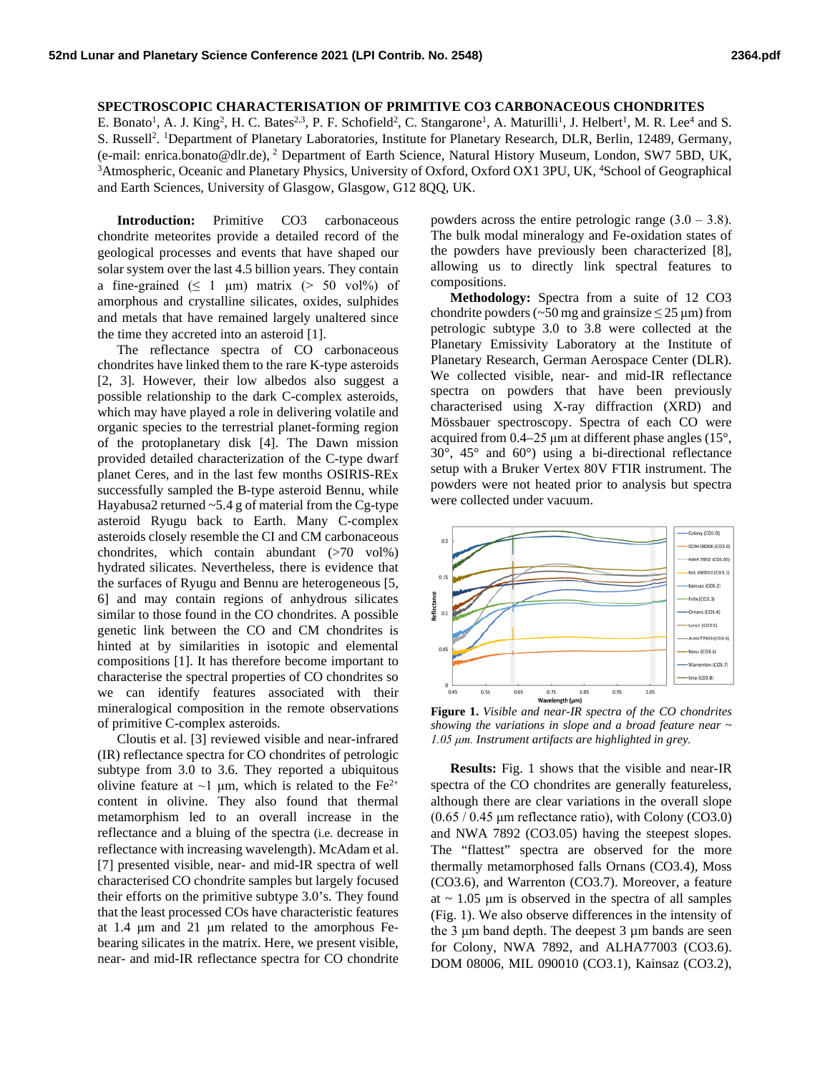## **SPECTROSCOPIC CHARACTERISATION OF PRIMITIVE CO3 CARBONACEOUS CHONDRITES**

E. Bonato<sup>1</sup>, A. J. King<sup>2</sup>, H. C. Bates<sup>2,3</sup>, P. F. Schofield<sup>2</sup>, C. Stangarone<sup>1</sup>, A. Maturilli<sup>1</sup>, J. Helbert<sup>1</sup>, M. R. Lee<sup>4</sup> and S. S. Russell<sup>2</sup>. <sup>1</sup>Department of Planetary Laboratories, Institute for Planetary Research, DLR, Berlin, 12489, Germany, (e-mail: enrica.bonato@dlr.de), <sup>2</sup> Department of Earth Science, Natural History Museum, London, SW7 5BD, UK, 3 Atmospheric, Oceanic and Planetary Physics, University of Oxford, Oxford OX1 3PU, UK, <sup>4</sup>School of Geographical and Earth Sciences, University of Glasgow, Glasgow, G12 8QQ, UK.

**Introduction:** Primitive CO3 carbonaceous chondrite meteorites provide a detailed record of the geological processes and events that have shaped our solar system over the last 4.5 billion years. They contain a fine-grained ( $\leq 1 \mu m$ ) matrix ( $> 50 \text{ vol\%}$ ) of amorphous and crystalline silicates, oxides, sulphides and metals that have remained largely unaltered since the time they accreted into an asteroid [1].

The reflectance spectra of CO carbonaceous chondrites have linked them to the rare K-type asteroids [2, 3]. However, their low albedos also suggest a possible relationship to the dark C-complex asteroids, which may have played a role in delivering volatile and organic species to the terrestrial planet-forming region of the protoplanetary disk [4]. The Dawn mission provided detailed characterization of the C-type dwarf planet Ceres, and in the last few months OSIRIS-REx successfully sampled the B-type asteroid Bennu, while Hayabusa2 returned  $\sim$  5.4 g of material from the Cg-type asteroid Ryugu back to Earth. Many C-complex asteroids closely resemble the CI and CM carbonaceous chondrites, which contain abundant  $(>70 \text{ vol\%})$ hydrated silicates. Nevertheless, there is evidence that the surfaces of Ryugu and Bennu are heterogeneous [5, 6] and may contain regions of anhydrous silicates similar to those found in the CO chondrites. A possible genetic link between the CO and CM chondrites is hinted at by similarities in isotopic and elemental compositions [1]. It has therefore become important to characterise the spectral properties of CO chondrites so we can identify features associated with their mineralogical composition in the remote observations of primitive C-complex asteroids.

Cloutis et al. [3] reviewed visible and near-infrared (IR) reflectance spectra for CO chondrites of petrologic subtype from 3.0 to 3.6. They reported a ubiquitous olivine feature at  $\sim$ 1 μm, which is related to the Fe<sup>2+</sup> content in olivine. They also found that thermal metamorphism led to an overall increase in the reflectance and a bluing of the spectra (i.e. decrease in reflectance with increasing wavelength). McAdam et al. [7] presented visible, near- and mid-IR spectra of well characterised CO chondrite samples but largely focused their efforts on the primitive subtype 3.0's. They found that the least processed COs have characteristic features at 1.4 μm and 21 μm related to the amorphous Febearing silicates in the matrix. Here, we present visible, near- and mid-IR reflectance spectra for CO chondrite

powders across the entire petrologic range  $(3.0 - 3.8)$ . The bulk modal mineralogy and Fe-oxidation states of the powders have previously been characterized [8], allowing us to directly link spectral features to compositions.

**Methodology:** Spectra from a suite of 12 CO3 chondrite powders ( $\sim$ 50 mg and grainsize  $\leq$  25 µm) from petrologic subtype 3.0 to 3.8 were collected at the Planetary Emissivity Laboratory at the Institute of Planetary Research, German Aerospace Center (DLR). We collected visible, near- and mid-IR reflectance spectra on powders that have been previously characterised using X-ray diffraction (XRD) and Mössbauer spectroscopy. Spectra of each CO were acquired from 0.4–25 μm at different phase angles (15°, 30°, 45° and 60°) using a bi-directional reflectance setup with a Bruker Vertex 80V FTIR instrument. The powders were not heated prior to analysis but spectra were collected under vacuum.



**Figure 1.** *Visible and near-IR spectra of the CO chondrites showing the variations in slope and a broad feature near ~ 1.05 μm. Instrument artifacts are highlighted in grey.*

**Results:** Fig. 1 shows that the visible and near-IR spectra of the CO chondrites are generally featureless, although there are clear variations in the overall slope (0.65 / 0.45 μm reflectance ratio), with Colony (CO3.0) and NWA 7892 (CO3.05) having the steepest slopes. The "flattest" spectra are observed for the more thermally metamorphosed falls Ornans (CO3.4), Moss (CO3.6), and Warrenton (CO3.7). Moreover, a feature at  $\sim$  1.05  $\mu$ m is observed in the spectra of all samples (Fig. 1). We also observe differences in the intensity of the 3 μm band depth. The deepest 3 µm bands are seen for Colony, NWA 7892, and ALHA77003 (CO3.6). DOM 08006, MIL 090010 (CO3.1), Kainsaz (CO3.2),